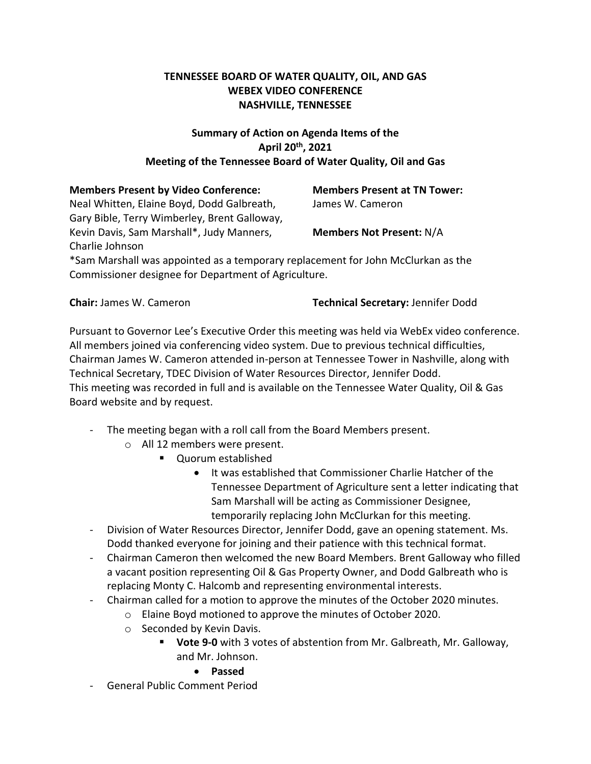# **TENNESSEE BOARD OF WATER QUALITY, OIL, AND GAS WEBEX VIDEO CONFERENCE NASHVILLE, TENNESSEE**

# **Summary of Action on Agenda Items of the April 20th, 2021 Meeting of the Tennessee Board of Water Quality, Oil and Gas**

| <b>Members Present by Video Conference:</b>                                      | <b>Members Present at TN Tower:</b> |
|----------------------------------------------------------------------------------|-------------------------------------|
| Neal Whitten, Elaine Boyd, Dodd Galbreath,                                       | James W. Cameron                    |
| Gary Bible, Terry Wimberley, Brent Galloway,                                     |                                     |
| Kevin Davis, Sam Marshall*, Judy Manners,                                        | <b>Members Not Present: N/A</b>     |
| Charlie Johnson                                                                  |                                     |
| *Sam Marshall was appointed as a temporary replacement for John McClurkan as the |                                     |
| Commissioner designee for Department of Agriculture.                             |                                     |

**Chair:** James W. Cameron **Technical Secretary:** Jennifer Dodd

Pursuant to Governor Lee's Executive Order this meeting was held via WebEx video conference. All members joined via conferencing video system. Due to previous technical difficulties, Chairman James W. Cameron attended in-person at Tennessee Tower in Nashville, along with Technical Secretary, TDEC Division of Water Resources Director, Jennifer Dodd. This meeting was recorded in full and is available on the Tennessee Water Quality, Oil & Gas Board website and by request.

- The meeting began with a roll call from the Board Members present.
	- o All 12 members were present.
		- **Cuorum established** 
			- It was established that Commissioner Charlie Hatcher of the Tennessee Department of Agriculture sent a letter indicating that Sam Marshall will be acting as Commissioner Designee, temporarily replacing John McClurkan for this meeting.
- Division of Water Resources Director, Jennifer Dodd, gave an opening statement. Ms. Dodd thanked everyone for joining and their patience with this technical format.
- Chairman Cameron then welcomed the new Board Members. Brent Galloway who filled a vacant position representing Oil & Gas Property Owner, and Dodd Galbreath who is replacing Monty C. Halcomb and representing environmental interests.
- Chairman called for a motion to approve the minutes of the October 2020 minutes.
	- o Elaine Boyd motioned to approve the minutes of October 2020.
	- o Seconded by Kevin Davis.
		- **Vote 9-0** with 3 votes of abstention from Mr. Galbreath, Mr. Galloway, and Mr. Johnson.
			- **Passed**
- General Public Comment Period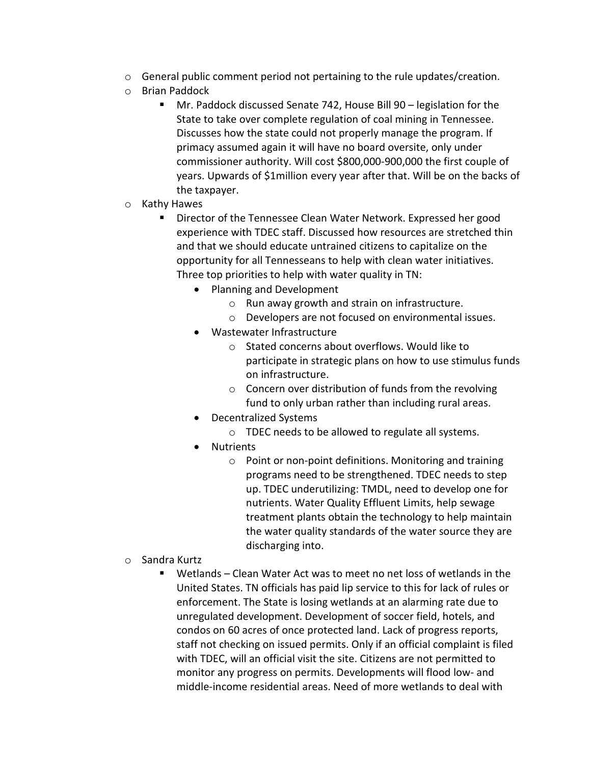- o General public comment period not pertaining to the rule updates/creation.
- o Brian Paddock
	- Mr. Paddock discussed Senate 742, House Bill 90 legislation for the State to take over complete regulation of coal mining in Tennessee. Discusses how the state could not properly manage the program. If primacy assumed again it will have no board oversite, only under commissioner authority. Will cost \$800,000-900,000 the first couple of years. Upwards of \$1million every year after that. Will be on the backs of the taxpayer.
- o Kathy Hawes
	- **Director of the Tennessee Clean Water Network. Expressed her good** experience with TDEC staff. Discussed how resources are stretched thin and that we should educate untrained citizens to capitalize on the opportunity for all Tennesseans to help with clean water initiatives. Three top priorities to help with water quality in TN:
		- Planning and Development
			- o Run away growth and strain on infrastructure.
			- o Developers are not focused on environmental issues.
		- Wastewater Infrastructure
			- o Stated concerns about overflows. Would like to participate in strategic plans on how to use stimulus funds on infrastructure.
			- o Concern over distribution of funds from the revolving fund to only urban rather than including rural areas.
		- Decentralized Systems
			- o TDEC needs to be allowed to regulate all systems.
		- Nutrients
			- o Point or non-point definitions. Monitoring and training programs need to be strengthened. TDEC needs to step up. TDEC underutilizing: TMDL, need to develop one for nutrients. Water Quality Effluent Limits, help sewage treatment plants obtain the technology to help maintain the water quality standards of the water source they are discharging into.
- o Sandra Kurtz
	- Wetlands Clean Water Act was to meet no net loss of wetlands in the United States. TN officials has paid lip service to this for lack of rules or enforcement. The State is losing wetlands at an alarming rate due to unregulated development. Development of soccer field, hotels, and condos on 60 acres of once protected land. Lack of progress reports, staff not checking on issued permits. Only if an official complaint is filed with TDEC, will an official visit the site. Citizens are not permitted to monitor any progress on permits. Developments will flood low- and middle-income residential areas. Need of more wetlands to deal with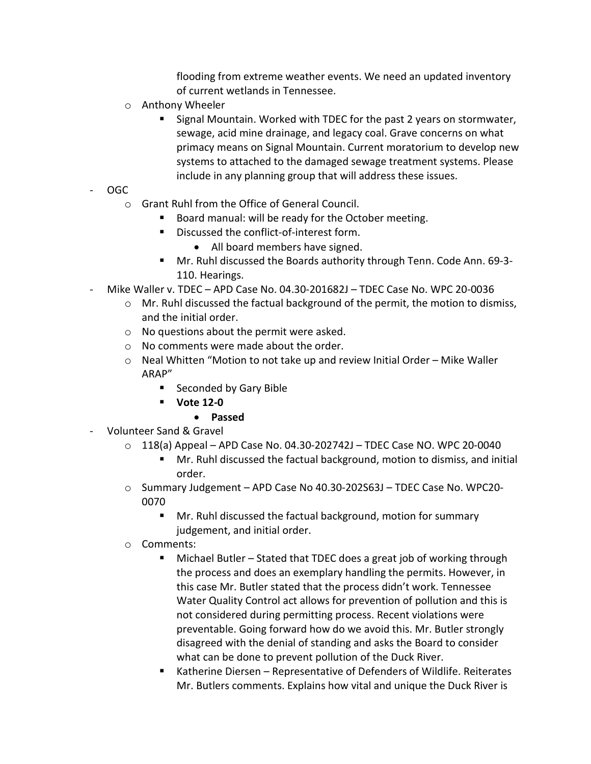flooding from extreme weather events. We need an updated inventory of current wetlands in Tennessee.

- o Anthony Wheeler
	- Signal Mountain. Worked with TDEC for the past 2 years on stormwater, sewage, acid mine drainage, and legacy coal. Grave concerns on what primacy means on Signal Mountain. Current moratorium to develop new systems to attached to the damaged sewage treatment systems. Please include in any planning group that will address these issues.
- OGC
	- o Grant Ruhl from the Office of General Council.
		- Board manual: will be ready for the October meeting.
		- Discussed the conflict-of-interest form.
			- All board members have signed.
		- Mr. Ruhl discussed the Boards authority through Tenn. Code Ann. 69-3- 110. Hearings.
- Mike Waller v. TDEC APD Case No. 04.30-201682J TDEC Case No. WPC 20-0036
	- $\circ$  Mr. Ruhl discussed the factual background of the permit, the motion to dismiss, and the initial order.
	- o No questions about the permit were asked.
	- o No comments were made about the order.
	- o Neal Whitten "Motion to not take up and review Initial Order Mike Waller ARAP"
		- Seconded by Gary Bible
		- **Vote 12-0**

## • **Passed**

- Volunteer Sand & Gravel
	- $\circ$  118(a) Appeal APD Case No. 04.30-202742J TDEC Case NO. WPC 20-0040
		- **Mr. Ruhl discussed the factual background, motion to dismiss, and initial** order.
	- o Summary Judgement APD Case No 40.30-202S63J TDEC Case No. WPC20- 0070
		- Mr. Ruhl discussed the factual background, motion for summary judgement, and initial order.
	- o Comments:
		- Michael Butler Stated that TDEC does a great job of working through the process and does an exemplary handling the permits. However, in this case Mr. Butler stated that the process didn't work. Tennessee Water Quality Control act allows for prevention of pollution and this is not considered during permitting process. Recent violations were preventable. Going forward how do we avoid this. Mr. Butler strongly disagreed with the denial of standing and asks the Board to consider what can be done to prevent pollution of the Duck River.
		- Katherine Diersen Representative of Defenders of Wildlife. Reiterates Mr. Butlers comments. Explains how vital and unique the Duck River is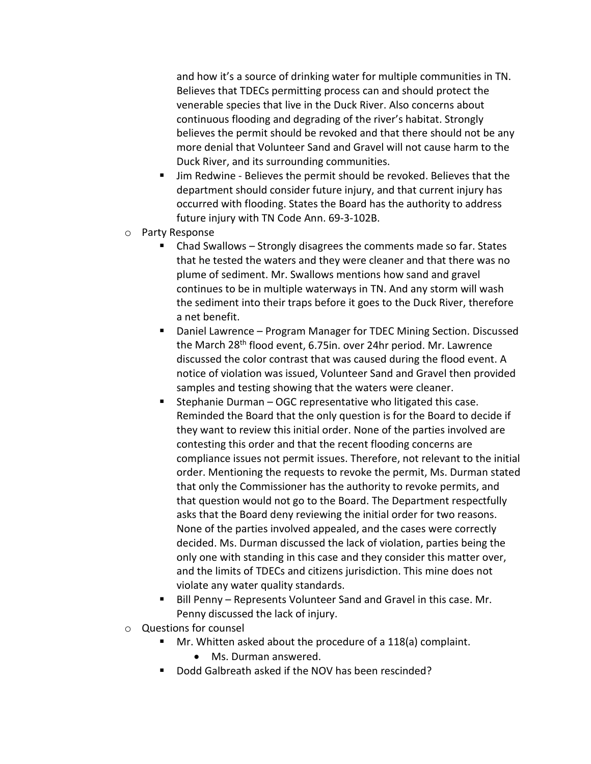and how it's a source of drinking water for multiple communities in TN. Believes that TDECs permitting process can and should protect the venerable species that live in the Duck River. Also concerns about continuous flooding and degrading of the river's habitat. Strongly believes the permit should be revoked and that there should not be any more denial that Volunteer Sand and Gravel will not cause harm to the Duck River, and its surrounding communities.

- Jim Redwine Believes the permit should be revoked. Believes that the department should consider future injury, and that current injury has occurred with flooding. States the Board has the authority to address future injury with TN Code Ann. 69-3-102B.
- o Party Response
	- Chad Swallows Strongly disagrees the comments made so far. States that he tested the waters and they were cleaner and that there was no plume of sediment. Mr. Swallows mentions how sand and gravel continues to be in multiple waterways in TN. And any storm will wash the sediment into their traps before it goes to the Duck River, therefore a net benefit.
	- Daniel Lawrence Program Manager for TDEC Mining Section. Discussed the March 28<sup>th</sup> flood event, 6.75in. over 24hr period. Mr. Lawrence discussed the color contrast that was caused during the flood event. A notice of violation was issued, Volunteer Sand and Gravel then provided samples and testing showing that the waters were cleaner.
	- Stephanie Durman  $-$  OGC representative who litigated this case. Reminded the Board that the only question is for the Board to decide if they want to review this initial order. None of the parties involved are contesting this order and that the recent flooding concerns are compliance issues not permit issues. Therefore, not relevant to the initial order. Mentioning the requests to revoke the permit, Ms. Durman stated that only the Commissioner has the authority to revoke permits, and that question would not go to the Board. The Department respectfully asks that the Board deny reviewing the initial order for two reasons. None of the parties involved appealed, and the cases were correctly decided. Ms. Durman discussed the lack of violation, parties being the only one with standing in this case and they consider this matter over, and the limits of TDECs and citizens jurisdiction. This mine does not violate any water quality standards.
	- Bill Penny Represents Volunteer Sand and Gravel in this case. Mr. Penny discussed the lack of injury.
- o Questions for counsel
	- **Mr.** Whitten asked about the procedure of a 118(a) complaint.
		- Ms. Durman answered.
	- Dodd Galbreath asked if the NOV has been rescinded?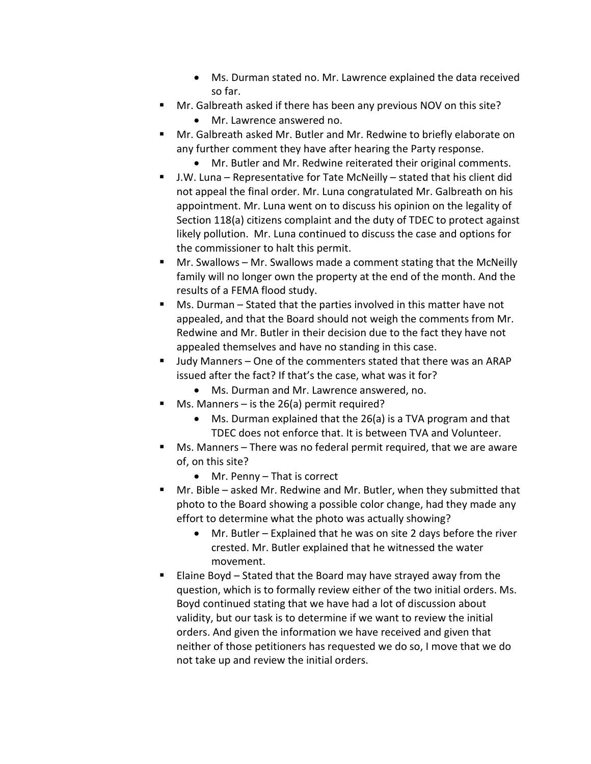- Ms. Durman stated no. Mr. Lawrence explained the data received so far.
- **Mr.** Galbreath asked if there has been any previous NOV on this site?
	- Mr. Lawrence answered no.
- Mr. Galbreath asked Mr. Butler and Mr. Redwine to briefly elaborate on any further comment they have after hearing the Party response.
	- Mr. Butler and Mr. Redwine reiterated their original comments.
- J.W. Luna Representative for Tate McNeilly stated that his client did not appeal the final order. Mr. Luna congratulated Mr. Galbreath on his appointment. Mr. Luna went on to discuss his opinion on the legality of Section 118(a) citizens complaint and the duty of TDEC to protect against likely pollution. Mr. Luna continued to discuss the case and options for the commissioner to halt this permit.
- Mr. Swallows Mr. Swallows made a comment stating that the McNeilly family will no longer own the property at the end of the month. And the results of a FEMA flood study.
- Ms. Durman Stated that the parties involved in this matter have not appealed, and that the Board should not weigh the comments from Mr. Redwine and Mr. Butler in their decision due to the fact they have not appealed themselves and have no standing in this case.
- Judy Manners One of the commenters stated that there was an ARAP issued after the fact? If that's the case, what was it for?
	- Ms. Durman and Mr. Lawrence answered, no.
- $\blacksquare$  Ms. Manners is the 26(a) permit required?
	- Ms. Durman explained that the 26(a) is a TVA program and that TDEC does not enforce that. It is between TVA and Volunteer.
- Ms. Manners There was no federal permit required, that we are aware of, on this site?
	- Mr. Penny That is correct
- Mr. Bible asked Mr. Redwine and Mr. Butler, when they submitted that photo to the Board showing a possible color change, had they made any effort to determine what the photo was actually showing?
	- Mr. Butler Explained that he was on site 2 days before the river crested. Mr. Butler explained that he witnessed the water movement.
- Elaine Boyd Stated that the Board may have strayed away from the question, which is to formally review either of the two initial orders. Ms. Boyd continued stating that we have had a lot of discussion about validity, but our task is to determine if we want to review the initial orders. And given the information we have received and given that neither of those petitioners has requested we do so, I move that we do not take up and review the initial orders.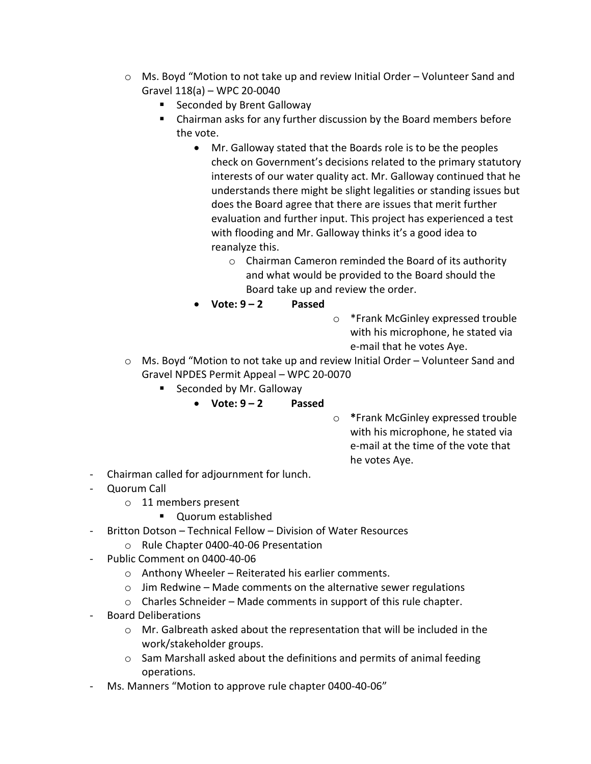- o Ms. Boyd "Motion to not take up and review Initial Order Volunteer Sand and Gravel 118(a) – WPC 20-0040
	- Seconded by Brent Galloway
	- Chairman asks for any further discussion by the Board members before the vote.
		- Mr. Galloway stated that the Boards role is to be the peoples check on Government's decisions related to the primary statutory interests of our water quality act. Mr. Galloway continued that he understands there might be slight legalities or standing issues but does the Board agree that there are issues that merit further evaluation and further input. This project has experienced a test with flooding and Mr. Galloway thinks it's a good idea to reanalyze this.
			- o Chairman Cameron reminded the Board of its authority and what would be provided to the Board should the Board take up and review the order.
		- **Vote: 9 – 2 Passed**
- o \*Frank McGinley expressed trouble with his microphone, he stated via e-mail that he votes Aye.
- o Ms. Boyd "Motion to not take up and review Initial Order Volunteer Sand and Gravel NPDES Permit Appeal – WPC 20-0070
	- Seconded by Mr. Galloway
		- **Vote: 9 – 2 Passed**
- o **\***Frank McGinley expressed trouble with his microphone, he stated via e-mail at the time of the vote that he votes Aye.
- Chairman called for adjournment for lunch.
- Quorum Call
	- o 11 members present
		- **Quorum established**
- Britton Dotson Technical Fellow Division of Water Resources
	- o Rule Chapter 0400-40-06 Presentation
- Public Comment on 0400-40-06
	- o Anthony Wheeler Reiterated his earlier comments.
	- $\circ$  Jim Redwine Made comments on the alternative sewer regulations
	- o Charles Schneider Made comments in support of this rule chapter.
- Board Deliberations
	- o Mr. Galbreath asked about the representation that will be included in the work/stakeholder groups.
	- o Sam Marshall asked about the definitions and permits of animal feeding operations.
- Ms. Manners "Motion to approve rule chapter 0400-40-06"